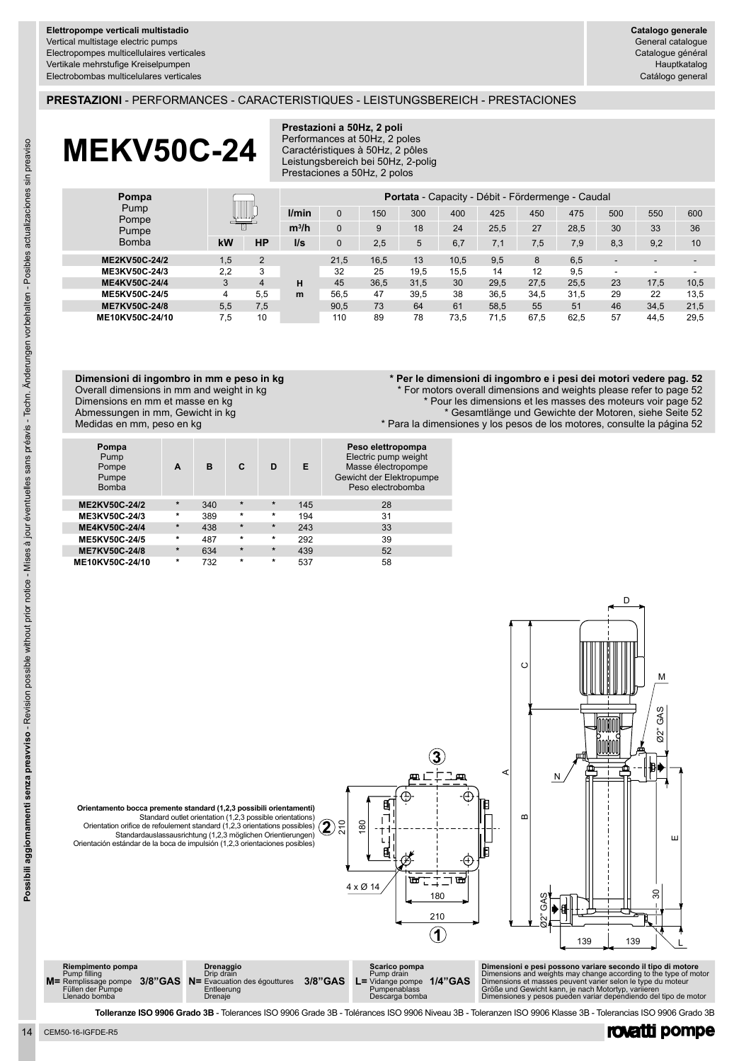## **PRESTAZIONI** - PERFORMANCES - CARACTERISTIQUES - LEISTUNGSBEREICH - PRESTACIONES

# **MEKV50C-24**

#### **Prestazioni a 50Hz, 2 poli** Performances at 50Hz, 2 poles Caractéristiques à 50Hz, 2 pôles Leistungsbereich bei 50Hz, 2-polig Prestaciones a 50Hz, 2 polos

| Pompa<br>Pump<br>Pompe<br>Pumpe<br><b>Bomba</b> | W   |           | <b>Portata</b> - Capacity - Débit - Fördermenge - Caudal |          |      |      |      |      |      |      |     |      |                          |
|-------------------------------------------------|-----|-----------|----------------------------------------------------------|----------|------|------|------|------|------|------|-----|------|--------------------------|
|                                                 |     |           | l/min                                                    | $\Omega$ | 150  | 300  | 400  | 425  | 450  | 475  | 500 | 550  | 600                      |
|                                                 |     |           | $m^3/h$                                                  |          | 9    | 18   | 24   | 25,5 | 27   | 28.5 | 30  | 33   | 36                       |
|                                                 | kW  | <b>HP</b> | $\mathsf{II}$ s                                          | $\Omega$ | 2,5  | 5    | 6.7  | 7,1  | 7,5  | 7.9  | 8,3 | 9,2  | 10                       |
| ME2KV50C-24/2                                   | 1.5 | 2         |                                                          | 21.5     | 16.5 | 13   | 10.5 | 9.5  | 8    | 6.5  | -   |      | $\overline{\phantom{a}}$ |
| ME3KV50C-24/3                                   | 2.2 | 3         |                                                          | 32       | 25   | 19.5 | 15.5 | 14   | 12   | 9,5  | -   |      | -                        |
| ME4KV50C-24/4                                   | 3   | 4         | н                                                        | 45       | 36.5 | 31,5 | 30   | 29.5 | 27.5 | 25.5 | 23  | 17.5 | 10,5                     |
| ME5KV50C-24/5                                   | 4   | 5.5       | m                                                        | 56,5     | 47   | 39,5 | 38   | 36.5 | 34.5 | 31.5 | 29  | 22   | 13.5                     |
| <b>ME7KV50C-24/8</b>                            | 5.5 | 7,5       |                                                          | 90.5     | 73   | 64   | 61   | 58.5 | 55   | 51   | 46  | 34.5 | 21.5                     |
| ME10KV50C-24/10                                 | 7.5 | 10        |                                                          | 110      | 89   | 78   | 73.5 | 71.5 | 67.5 | 62.5 | 57  | 44.5 | 29.5                     |

#### **Dimensioni di ingombro in mm e peso in kg** Overall dimensions in mm and weight in kg Dimensions en mm et masse en kg Abmessungen in mm, Gewicht in kg Medidas en mm, peso en kg

## **\* Per le dimensioni di ingombro e i pesi dei motori vedere pag. 52**

For motors overall dimensions and weights please refer to page 52

\* Pour les dimensions et les masses des moteurs voir page 52

\* Gesamtlänge und Gewichte der Motoren, siehe Seite 52

\* Para la dimensiones y los pesos de los motores, consulte la página 52

| Pompa<br>Pump<br>Pompe<br>Pumpe<br><b>Bomba</b> | A       | B   | C       | D       | Е   | Peso elettropompa<br>Electric pump weight<br>Masse électropompe<br>Gewicht der Elektropumpe<br>Peso electrobomba |
|-------------------------------------------------|---------|-----|---------|---------|-----|------------------------------------------------------------------------------------------------------------------|
|                                                 | $\star$ |     | $\star$ | $\star$ |     |                                                                                                                  |
| ME2KV50C-24/2                                   |         | 340 |         |         | 145 | 28                                                                                                               |
| ME3KV50C-24/3                                   | $\star$ | 389 | $\star$ | $\star$ | 194 | 31                                                                                                               |
| ME4KV50C-24/4                                   | $\star$ | 438 | $\star$ | $\star$ | 243 | 33                                                                                                               |
| ME5KV50C-24/5                                   | $\star$ | 487 | $\star$ | $\star$ | 292 | 39                                                                                                               |
| ME7KV50C-24/8                                   | $\star$ | 634 | $\star$ | $\star$ | 439 | 52                                                                                                               |
| ME10KV50C-24/10                                 | $\ast$  | 732 | $\star$ | $\star$ | 537 | 58                                                                                                               |



| Riempimento pompa<br>Pump filling<br>$M$ = Remplissage pompe $3/8$ "GAS $N$ = Evacuation des égouttures<br>Füllen der Pumpe<br>Llenado bomba | Drenaggio<br>Drip drain<br>Entleerung<br>Drenaie | 3/8"GAS | Scarico pompa<br>Pump drain<br>$L =$ Vidange pompe $1/4$ "GAS<br>Pumpenablass<br>Descarga bomba | Dimensioni e pesi possono variare secondo il tipo di motore<br>Dimensions and weights may change according to the type of motor<br>Dimensions et masses peuvent varier selon le type du moteur<br>Größe und Gewicht kann, ie nach Motortyp, varijeren<br>Dimensiones y pesos pueden variar dependiendo del tipo de motor |
|----------------------------------------------------------------------------------------------------------------------------------------------|--------------------------------------------------|---------|-------------------------------------------------------------------------------------------------|--------------------------------------------------------------------------------------------------------------------------------------------------------------------------------------------------------------------------------------------------------------------------------------------------------------------------|
|                                                                                                                                              |                                                  |         |                                                                                                 |                                                                                                                                                                                                                                                                                                                          |

**Tolleranze ISO 9906 Grado 3B** - Tolerances ISO 9906 Grade 3B - Tolérances ISO 9906 Niveau 3B - Toleranzen ISO 9906 Klasse 3B - Tolerancias ISO 9906 Grado 3B

rovatti pompe